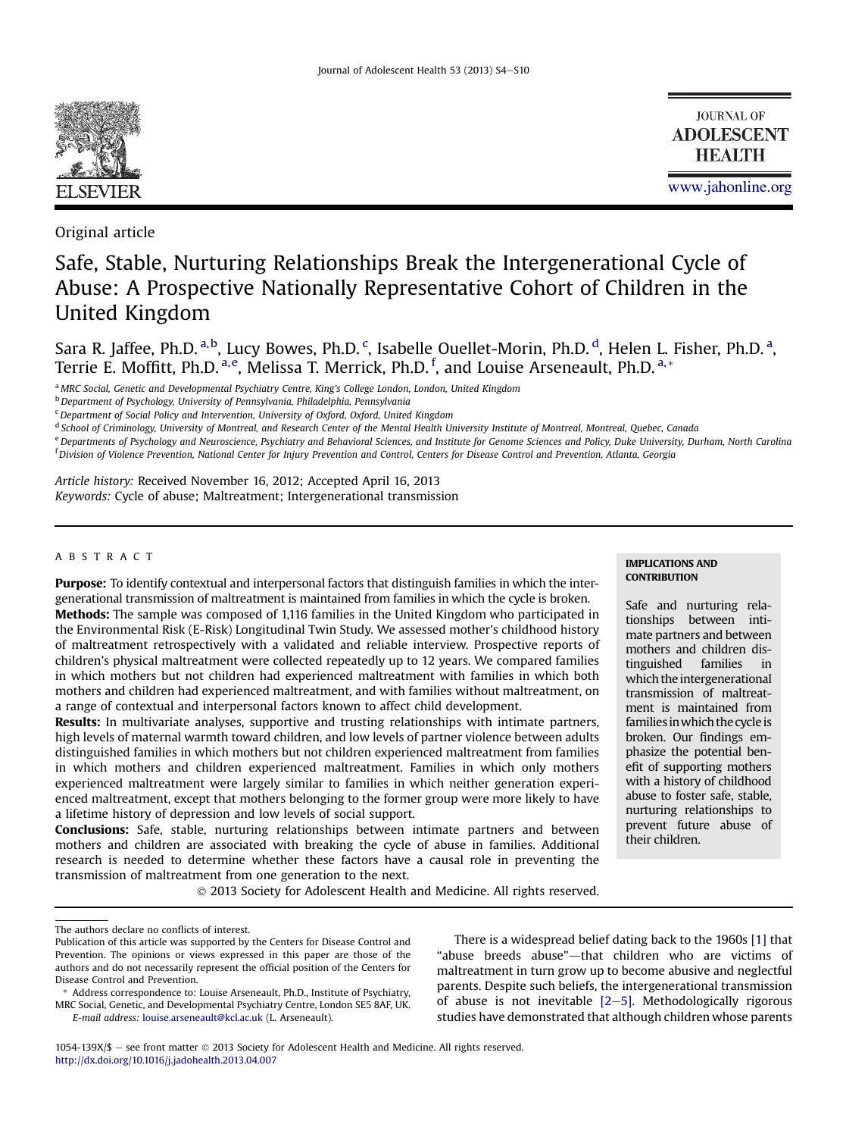

**JOURNAL OF ADOLESCENT HEALTH** 

[www.jahonline.org](http://www.jahonline.org)

Original article

# Safe, Stable, Nurturing Relationships Break the Intergenerational Cycle of Abuse: A Prospective Nationally Representative Cohort of Children in the United Kingdom

Sara R. Jaffee, Ph.D. <sup>a, b</sup>, Lucy Bowes, Ph.D. <sup>c</sup>, Isabelle Ouellet-Morin, Ph.D. <sup>d</sup>, Helen L. Fisher, Ph.D. <sup>a</sup>, Terrie E. Moffitt, Ph.D. <sup>a, e</sup>, Melissa T. Merrick, Ph.D. <sup>f</sup>, and Louise Arseneault, Ph.D. <sup>a, \*</sup>

a MRC Social, Genetic and Developmental Psychiatry Centre, King's College London, London, United Kingdom

<sup>b</sup> Department of Psychology, University of Pennsylvania, Philadelphia, Pennsylvania

 $c$  Department of Social Policy and Intervention, University of Oxford, Oxford, United Kingdom

<sup>d</sup> School of Criminology, University of Montreal, and Research Center of the Mental Health University Institute of Montreal, Montreal, Quebec, Canada

e Departments of Psychology and Neuroscience, Psychiatry and Behavioral Sciences, and Institute for Genome Sciences and Policy, Duke University, Durham, North Carolina f Division of Violence Prevention, National Center for Injury Prevention and Control, Centers for Disease Control and Prevention, Atlanta, Georgia

Article history: Received November 16, 2012; Accepted April 16, 2013 Keywords: Cycle of abuse; Maltreatment; Intergenerational transmission

# ABSTRACT

Purpose: To identify contextual and interpersonal factors that distinguish families in which the intergenerational transmission of maltreatment is maintained from families in which the cycle is broken.

Methods: The sample was composed of 1,116 families in the United Kingdom who participated in the Environmental Risk (E-Risk) Longitudinal Twin Study. We assessed mother's childhood history of maltreatment retrospectively with a validated and reliable interview. Prospective reports of children's physical maltreatment were collected repeatedly up to 12 years. We compared families in which mothers but not children had experienced maltreatment with families in which both mothers and children had experienced maltreatment, and with families without maltreatment, on a range of contextual and interpersonal factors known to affect child development.

Results: In multivariate analyses, supportive and trusting relationships with intimate partners, high levels of maternal warmth toward children, and low levels of partner violence between adults distinguished families in which mothers but not children experienced maltreatment from families in which mothers and children experienced maltreatment. Families in which only mothers experienced maltreatment were largely similar to families in which neither generation experienced maltreatment, except that mothers belonging to the former group were more likely to have a lifetime history of depression and low levels of social support.

**Conclusions:** Safe, stable, nurturing relationships between intimate partners and between mothers and children are associated with breaking the cycle of abuse in families. Additional research is needed to determine whether these factors have a causal role in preventing the transmission of maltreatment from one generation to the next.

2013 Society for Adolescent Health and Medicine. All rights reserved.

Address correspondence to: Louise Arseneault, Ph.D., Institute of Psychiatry, MRC Social, Genetic, and Developmental Psychiatry Centre, London SE5 8AF, UK.

E-mail address: [louise.arseneault@kcl.ac.uk](mailto:louise.arseneault@kcl.ac.uk) (L. Arseneault).

There is a widespread belief dating back to the 1960s [\[1\]](#page-6-0) that "abuse breeds abuse"-that children who are victims of maltreatment in turn grow up to become abusive and neglectful parents. Despite such beliefs, the intergenerational transmission of abuse is not inevitable  $[2-5]$  $[2-5]$ . Methodologically rigorous studies have demonstrated that although children whose parents

#### IMPLICATIONS AND **CONTRIBUTION**

Safe and nurturing relationships between intimate partners and between mothers and children distinguished families in which the intergenerational transmission of maltreatment is maintained from families in which the cycle is broken. Our findings emphasize the potential benefit of supporting mothers with a history of childhood abuse to foster safe, stable, nurturing relationships to prevent future abuse of their children.

The authors declare no conflicts of interest.

Publication of this article was supported by the Centers for Disease Control and Prevention. The opinions or views expressed in this paper are those of the authors and do not necessarily represent the official position of the Centers for Disease Control and Prevention.

<sup>1054-139</sup>X/\$ - see front matter © 2013 Society for Adolescent Health and Medicine. All rights reserved. <http://dx.doi.org/10.1016/j.jadohealth.2013.04.007>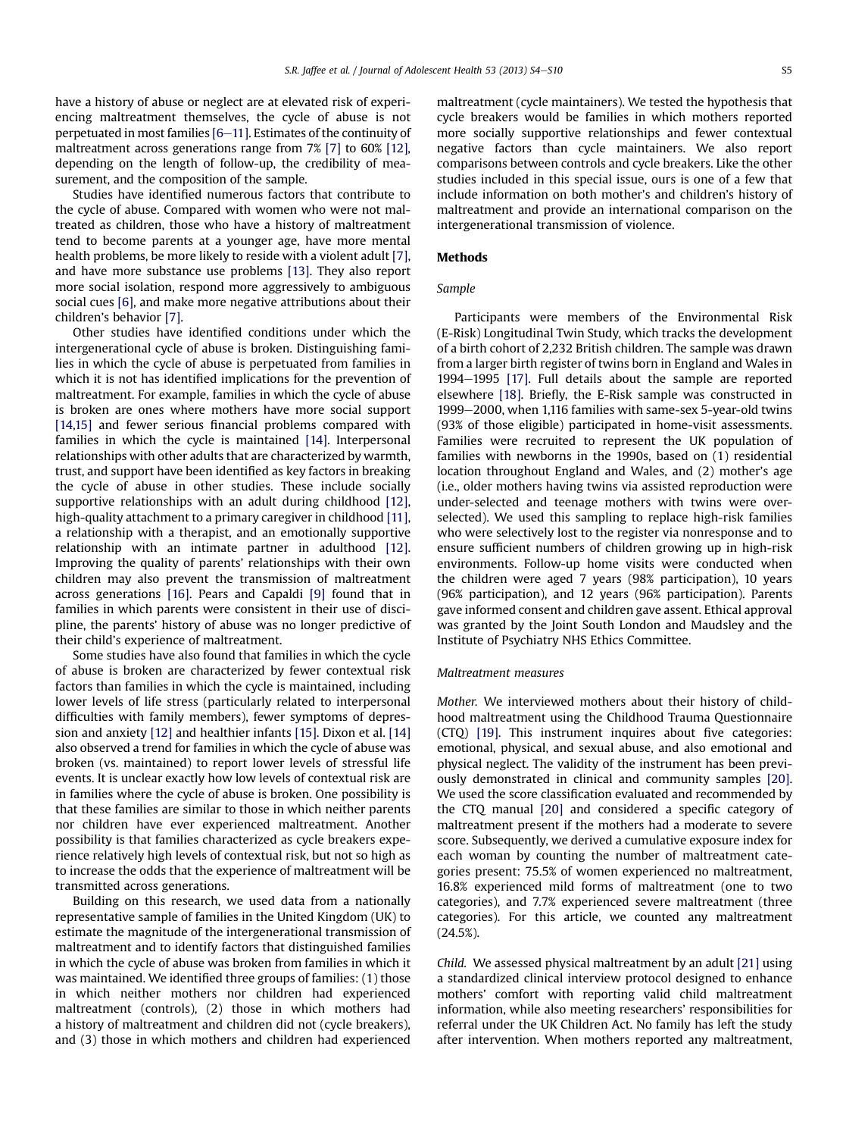have a history of abuse or neglect are at elevated risk of experiencing maltreatment themselves, the cycle of abuse is not perpetuated in most families  $[6-11]$  $[6-11]$  $[6-11]$ . Estimates of the continuity of maltreatment across generations range from 7% [\[7\]](#page-6-0) to 60% [\[12\],](#page-6-0) depending on the length of follow-up, the credibility of measurement, and the composition of the sample.

Studies have identified numerous factors that contribute to the cycle of abuse. Compared with women who were not maltreated as children, those who have a history of maltreatment tend to become parents at a younger age, have more mental health problems, be more likely to reside with a violent adult [\[7\],](#page-6-0) and have more substance use problems [\[13\].](#page-6-0) They also report more social isolation, respond more aggressively to ambiguous social cues [\[6\],](#page-6-0) and make more negative attributions about their children's behavior [\[7\].](#page-6-0)

Other studies have identified conditions under which the intergenerational cycle of abuse is broken. Distinguishing families in which the cycle of abuse is perpetuated from families in which it is not has identified implications for the prevention of maltreatment. For example, families in which the cycle of abuse is broken are ones where mothers have more social support [\[14,15\]](#page-6-0) and fewer serious financial problems compared with families in which the cycle is maintained [\[14\].](#page-6-0) Interpersonal relationships with other adults that are characterized by warmth, trust, and support have been identified as key factors in breaking the cycle of abuse in other studies. These include socially supportive relationships with an adult during childhood [\[12\],](#page-6-0) high-quality attachment to a primary caregiver in childhood [\[11\],](#page-6-0) a relationship with a therapist, and an emotionally supportive relationship with an intimate partner in adulthood [\[12\].](#page-6-0) Improving the quality of parents' relationships with their own children may also prevent the transmission of maltreatment across generations [\[16\].](#page-6-0) Pears and Capaldi [\[9\]](#page-6-0) found that in families in which parents were consistent in their use of discipline, the parents' history of abuse was no longer predictive of their child's experience of maltreatment.

Some studies have also found that families in which the cycle of abuse is broken are characterized by fewer contextual risk factors than families in which the cycle is maintained, including lower levels of life stress (particularly related to interpersonal difficulties with family members), fewer symptoms of depression and anxiety [\[12\]](#page-6-0) and healthier infants [\[15\].](#page-6-0) Dixon et al. [\[14\]](#page-6-0) also observed a trend for families in which the cycle of abuse was broken (vs. maintained) to report lower levels of stressful life events. It is unclear exactly how low levels of contextual risk are in families where the cycle of abuse is broken. One possibility is that these families are similar to those in which neither parents nor children have ever experienced maltreatment. Another possibility is that families characterized as cycle breakers experience relatively high levels of contextual risk, but not so high as to increase the odds that the experience of maltreatment will be transmitted across generations.

Building on this research, we used data from a nationally representative sample of families in the United Kingdom (UK) to estimate the magnitude of the intergenerational transmission of maltreatment and to identify factors that distinguished families in which the cycle of abuse was broken from families in which it was maintained. We identified three groups of families: (1) those in which neither mothers nor children had experienced maltreatment (controls), (2) those in which mothers had a history of maltreatment and children did not (cycle breakers), and (3) those in which mothers and children had experienced

maltreatment (cycle maintainers). We tested the hypothesis that cycle breakers would be families in which mothers reported more socially supportive relationships and fewer contextual negative factors than cycle maintainers. We also report comparisons between controls and cycle breakers. Like the other studies included in this special issue, ours is one of a few that include information on both mother's and children's history of maltreatment and provide an international comparison on the intergenerational transmission of violence.

## Methods

## Sample

Participants were members of the Environmental Risk (E-Risk) Longitudinal Twin Study, which tracks the development of a birth cohort of 2,232 British children. The sample was drawn from a larger birth register of twins born in England and Wales in 1994-1995 [\[17\].](#page-6-0) Full details about the sample are reported elsewhere [\[18\].](#page-6-0) Briefly, the E-Risk sample was constructed in 1999–2000, when 1,116 families with same-sex 5-year-old twins (93% of those eligible) participated in home-visit assessments. Families were recruited to represent the UK population of families with newborns in the 1990s, based on (1) residential location throughout England and Wales, and (2) mother's age (i.e., older mothers having twins via assisted reproduction were under-selected and teenage mothers with twins were overselected). We used this sampling to replace high-risk families who were selectively lost to the register via nonresponse and to ensure sufficient numbers of children growing up in high-risk environments. Follow-up home visits were conducted when the children were aged 7 years (98% participation), 10 years (96% participation), and 12 years (96% participation). Parents gave informed consent and children gave assent. Ethical approval was granted by the Joint South London and Maudsley and the Institute of Psychiatry NHS Ethics Committee.

#### Maltreatment measures

Mother. We interviewed mothers about their history of childhood maltreatment using the Childhood Trauma Questionnaire (CTQ) [\[19\]](#page-6-0). This instrument inquires about five categories: emotional, physical, and sexual abuse, and also emotional and physical neglect. The validity of the instrument has been previously demonstrated in clinical and community samples [\[20\].](#page-6-0) We used the score classification evaluated and recommended by the CTQ manual [\[20\]](#page-6-0) and considered a specific category of maltreatment present if the mothers had a moderate to severe score. Subsequently, we derived a cumulative exposure index for each woman by counting the number of maltreatment categories present: 75.5% of women experienced no maltreatment, 16.8% experienced mild forms of maltreatment (one to two categories), and 7.7% experienced severe maltreatment (three categories). For this article, we counted any maltreatment (24.5%).

Child. We assessed physical maltreatment by an adult [\[21\]](#page-6-0) using a standardized clinical interview protocol designed to enhance mothers' comfort with reporting valid child maltreatment information, while also meeting researchers' responsibilities for referral under the UK Children Act. No family has left the study after intervention. When mothers reported any maltreatment,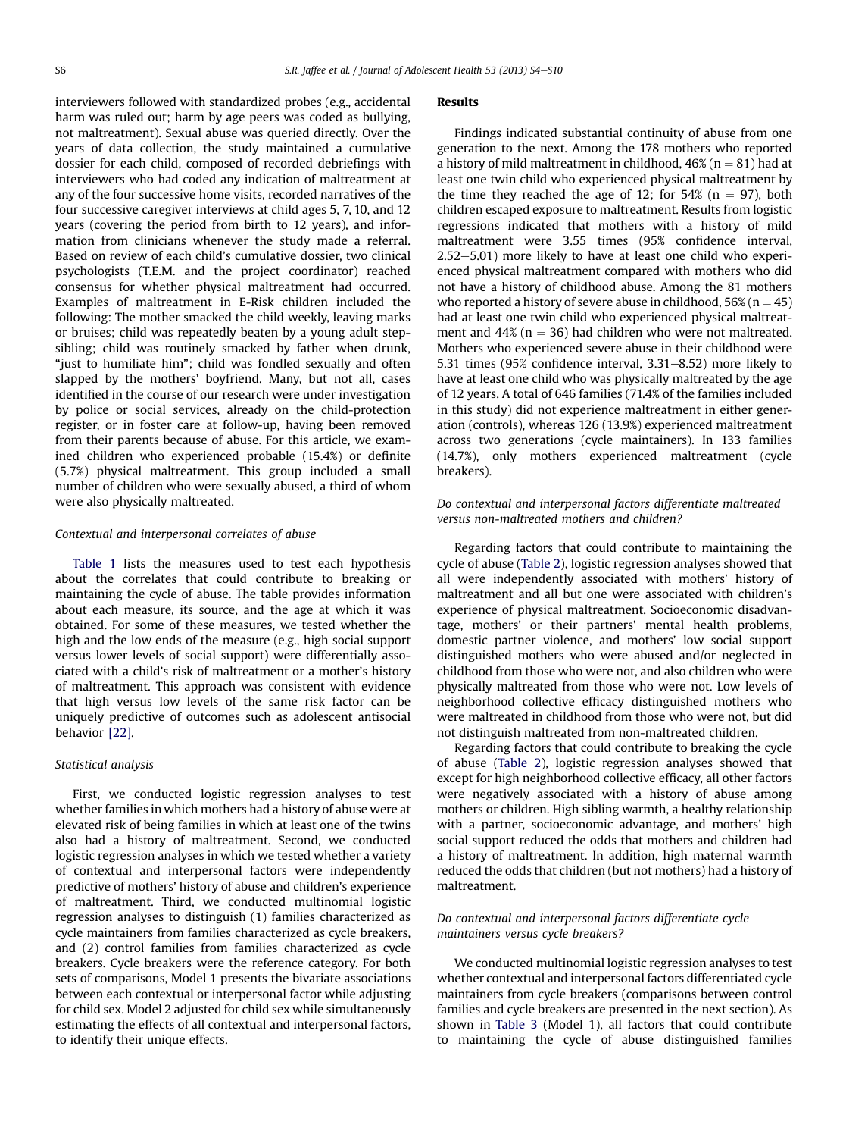interviewers followed with standardized probes (e.g., accidental harm was ruled out; harm by age peers was coded as bullying, not maltreatment). Sexual abuse was queried directly. Over the years of data collection, the study maintained a cumulative dossier for each child, composed of recorded debriefings with interviewers who had coded any indication of maltreatment at any of the four successive home visits, recorded narratives of the four successive caregiver interviews at child ages 5, 7, 10, and 12 years (covering the period from birth to 12 years), and information from clinicians whenever the study made a referral. Based on review of each child's cumulative dossier, two clinical psychologists (T.E.M. and the project coordinator) reached consensus for whether physical maltreatment had occurred. Examples of maltreatment in E-Risk children included the following: The mother smacked the child weekly, leaving marks or bruises; child was repeatedly beaten by a young adult stepsibling; child was routinely smacked by father when drunk, "just to humiliate him"; child was fondled sexually and often slapped by the mothers' boyfriend. Many, but not all, cases identified in the course of our research were under investigation by police or social services, already on the child-protection register, or in foster care at follow-up, having been removed from their parents because of abuse. For this article, we examined children who experienced probable (15.4%) or definite (5.7%) physical maltreatment. This group included a small number of children who were sexually abused, a third of whom were also physically maltreated.

## Contextual and interpersonal correlates of abuse

[Table 1](#page-3-0) lists the measures used to test each hypothesis about the correlates that could contribute to breaking or maintaining the cycle of abuse. The table provides information about each measure, its source, and the age at which it was obtained. For some of these measures, we tested whether the high and the low ends of the measure (e.g., high social support versus lower levels of social support) were differentially associated with a child's risk of maltreatment or a mother's history of maltreatment. This approach was consistent with evidence that high versus low levels of the same risk factor can be uniquely predictive of outcomes such as adolescent antisocial behavior [\[22\]](#page-6-0).

## Statistical analysis

First, we conducted logistic regression analyses to test whether families in which mothers had a history of abuse were at elevated risk of being families in which at least one of the twins also had a history of maltreatment. Second, we conducted logistic regression analyses in which we tested whether a variety of contextual and interpersonal factors were independently predictive of mothers' history of abuse and children's experience of maltreatment. Third, we conducted multinomial logistic regression analyses to distinguish (1) families characterized as cycle maintainers from families characterized as cycle breakers, and (2) control families from families characterized as cycle breakers. Cycle breakers were the reference category. For both sets of comparisons, Model 1 presents the bivariate associations between each contextual or interpersonal factor while adjusting for child sex. Model 2 adjusted for child sex while simultaneously estimating the effects of all contextual and interpersonal factors, to identify their unique effects.

#### Results

Findings indicated substantial continuity of abuse from one generation to the next. Among the 178 mothers who reported a history of mild maltreatment in childhood,  $46\%$  (n = 81) had at least one twin child who experienced physical maltreatment by the time they reached the age of 12; for 54% ( $n = 97$ ), both children escaped exposure to maltreatment. Results from logistic regressions indicated that mothers with a history of mild maltreatment were 3.55 times (95% confidence interval,  $2.52-5.01$ ) more likely to have at least one child who experienced physical maltreatment compared with mothers who did not have a history of childhood abuse. Among the 81 mothers who reported a history of severe abuse in childhood, 56% ( $n = 45$ ) had at least one twin child who experienced physical maltreatment and  $44\%$  (n = 36) had children who were not maltreated. Mothers who experienced severe abuse in their childhood were 5.31 times (95% confidence interval,  $3.31-8.52$ ) more likely to have at least one child who was physically maltreated by the age of 12 years. A total of 646 families (71.4% of the families included in this study) did not experience maltreatment in either generation (controls), whereas 126 (13.9%) experienced maltreatment across two generations (cycle maintainers). In 133 families (14.7%), only mothers experienced maltreatment (cycle breakers).

# Do contextual and interpersonal factors differentiate maltreated versus non-maltreated mothers and children?

Regarding factors that could contribute to maintaining the cycle of abuse [\(Table 2\)](#page-3-0), logistic regression analyses showed that all were independently associated with mothers' history of maltreatment and all but one were associated with children's experience of physical maltreatment. Socioeconomic disadvantage, mothers' or their partners' mental health problems, domestic partner violence, and mothers' low social support distinguished mothers who were abused and/or neglected in childhood from those who were not, and also children who were physically maltreated from those who were not. Low levels of neighborhood collective efficacy distinguished mothers who were maltreated in childhood from those who were not, but did not distinguish maltreated from non-maltreated children.

Regarding factors that could contribute to breaking the cycle of abuse [\(Table 2\)](#page-3-0), logistic regression analyses showed that except for high neighborhood collective efficacy, all other factors were negatively associated with a history of abuse among mothers or children. High sibling warmth, a healthy relationship with a partner, socioeconomic advantage, and mothers' high social support reduced the odds that mothers and children had a history of maltreatment. In addition, high maternal warmth reduced the odds that children (but not mothers) had a history of maltreatment.

# Do contextual and interpersonal factors differentiate cycle maintainers versus cycle breakers?

We conducted multinomial logistic regression analyses to test whether contextual and interpersonal factors differentiated cycle maintainers from cycle breakers (comparisons between control families and cycle breakers are presented in the next section). As shown in [Table 3](#page-4-0) (Model 1), all factors that could contribute to maintaining the cycle of abuse distinguished families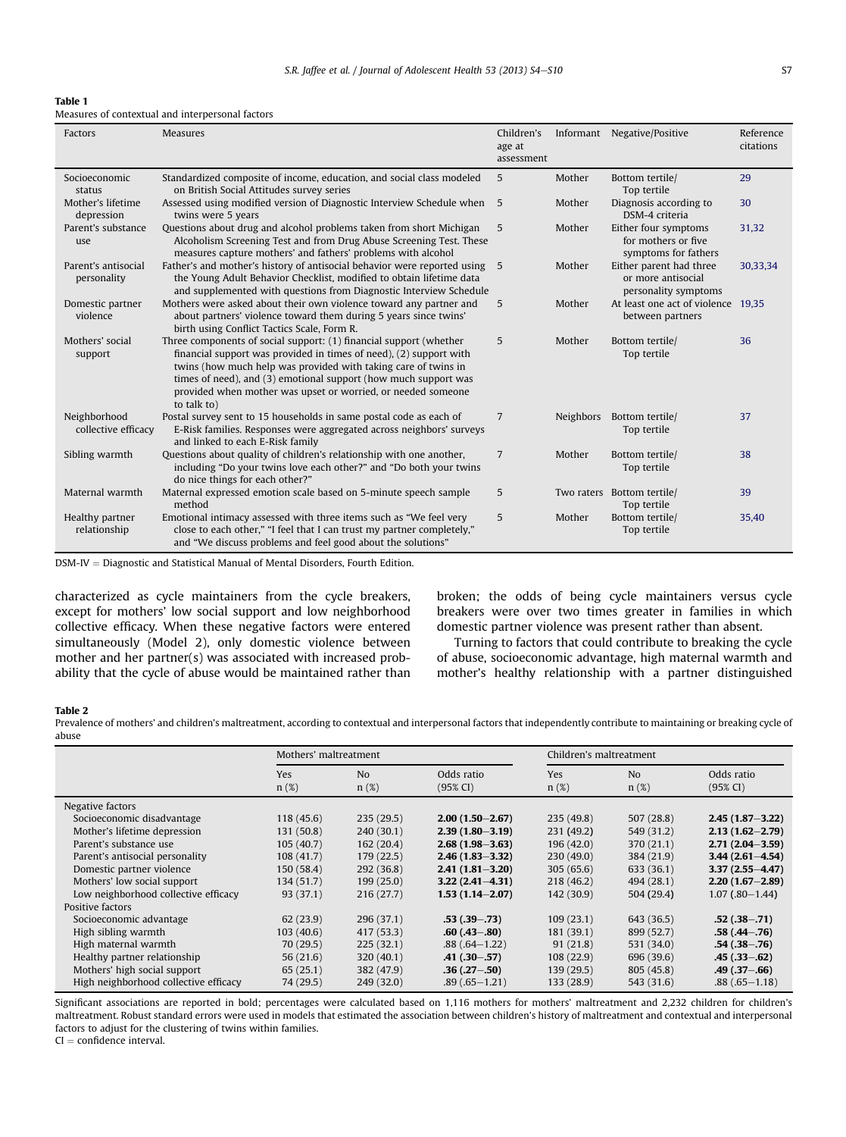# <span id="page-3-0"></span>Table 1

| Measures of contextual and interpersonal factors |  |  |  |
|--------------------------------------------------|--|--|--|
|--------------------------------------------------|--|--|--|

| Factors                             | <b>Measures</b>                                                                                                                                                                                                                                                                                                                                              | Children's<br>age at<br>assessment |           | Informant Negative/Positive                                           | Reference<br>citations |
|-------------------------------------|--------------------------------------------------------------------------------------------------------------------------------------------------------------------------------------------------------------------------------------------------------------------------------------------------------------------------------------------------------------|------------------------------------|-----------|-----------------------------------------------------------------------|------------------------|
| Socioeconomic<br>status             | Standardized composite of income, education, and social class modeled<br>on British Social Attitudes survey series                                                                                                                                                                                                                                           | 5                                  | Mother    | Bottom tertile/<br>Top tertile                                        | 29                     |
| Mother's lifetime<br>depression     | Assessed using modified version of Diagnostic Interview Schedule when 5<br>twins were 5 years                                                                                                                                                                                                                                                                |                                    | Mother    | Diagnosis according to<br>DSM-4 criteria                              | 30                     |
| Parent's substance<br>use           | Questions about drug and alcohol problems taken from short Michigan<br>Alcoholism Screening Test and from Drug Abuse Screening Test. These<br>measures capture mothers' and fathers' problems with alcohol                                                                                                                                                   | 5                                  | Mother    | Either four symptoms<br>for mothers or five<br>symptoms for fathers   | 31,32                  |
| Parent's antisocial<br>personality  | Father's and mother's history of antisocial behavior were reported using 5<br>the Young Adult Behavior Checklist, modified to obtain lifetime data<br>and supplemented with questions from Diagnostic Interview Schedule                                                                                                                                     |                                    | Mother    | Either parent had three<br>or more antisocial<br>personality symptoms | 30,33,34               |
| Domestic partner<br>violence        | Mothers were asked about their own violence toward any partner and<br>about partners' violence toward them during 5 years since twins'<br>birth using Conflict Tactics Scale, Form R.                                                                                                                                                                        | 5                                  | Mother    | At least one act of violence 19.35<br>between partners                |                        |
| Mothers' social<br>support          | Three components of social support: (1) financial support (whether<br>financial support was provided in times of need), (2) support with<br>twins (how much help was provided with taking care of twins in<br>times of need), and (3) emotional support (how much support was<br>provided when mother was upset or worried, or needed someone<br>to talk to) | 5                                  | Mother    | Bottom tertile/<br>Top tertile                                        | 36                     |
| Neighborhood<br>collective efficacy | Postal survey sent to 15 households in same postal code as each of<br>E-Risk families. Responses were aggregated across neighbors' surveys<br>and linked to each E-Risk family                                                                                                                                                                               | 7                                  | Neighbors | Bottom tertile/<br>Top tertile                                        | 37                     |
| Sibling warmth                      | Questions about quality of children's relationship with one another,<br>including "Do your twins love each other?" and "Do both your twins<br>do nice things for each other?"                                                                                                                                                                                | $7\overline{ }$                    | Mother    | Bottom tertile/<br>Top tertile                                        | 38                     |
| Maternal warmth                     | Maternal expressed emotion scale based on 5-minute speech sample<br>method                                                                                                                                                                                                                                                                                   | 5                                  |           | Two raters Bottom tertile/<br>Top tertile                             | 39                     |
| Healthy partner<br>relationship     | Emotional intimacy assessed with three items such as "We feel very<br>close to each other," "I feel that I can trust my partner completely,"<br>and "We discuss problems and feel good about the solutions"                                                                                                                                                  | 5                                  | Mother    | Bottom tertile/<br>Top tertile                                        | 35,40                  |

 $DSM-IV =$  Diagnostic and Statistical Manual of Mental Disorders, Fourth Edition.

characterized as cycle maintainers from the cycle breakers, except for mothers' low social support and low neighborhood collective efficacy. When these negative factors were entered simultaneously (Model 2), only domestic violence between mother and her partner(s) was associated with increased probability that the cycle of abuse would be maintained rather than broken; the odds of being cycle maintainers versus cycle breakers were over two times greater in families in which domestic partner violence was present rather than absent.

Turning to factors that could contribute to breaking the cycle of abuse, socioeconomic advantage, high maternal warmth and mother's healthy relationship with a partner distinguished

# Table 2

Prevalence of mothers' and children's maltreatment, according to contextual and interpersonal factors that independently contribute to maintaining or breaking cycle of abuse

|                                       |                       | Mothers' maltreatment     |                        |                       | Children's maltreatment   |                                   |  |
|---------------------------------------|-----------------------|---------------------------|------------------------|-----------------------|---------------------------|-----------------------------------|--|
|                                       | <b>Yes</b><br>$n(\%)$ | N <sub>0</sub><br>$n(\%)$ | Odds ratio<br>(95% CI) | <b>Yes</b><br>$n(\%)$ | N <sub>0</sub><br>$n(\%)$ | Odds ratio<br>$(95\% \text{ CI})$ |  |
| Negative factors                      |                       |                           |                        |                       |                           |                                   |  |
| Socioeconomic disadvantage            | 118(45.6)             | 235(29.5)                 | $2.00(1.50 - 2.67)$    | 235(49.8)             | 507(28.8)                 | $2.45(1.87 - 3.22)$               |  |
| Mother's lifetime depression          | 131 (50.8)            | 240(30.1)                 | $2.39(1.80 - 3.19)$    | 231 (49.2)            | 549 (31.2)                | $2.13(1.62 - 2.79)$               |  |
| Parent's substance use                | 105(40.7)             | 162(20.4)                 | $2.68(1.98 - 3.63)$    | 196 (42.0)            | 370 (21.1)                | $2.71(2.04 - 3.59)$               |  |
| Parent's antisocial personality       | 108(41.7)             | 179(22.5)                 | $2.46(1.83 - 3.32)$    | 230(49.0)             | 384 (21.9)                | $3.44(2.61 - 4.54)$               |  |
| Domestic partner violence             | 150 (58.4)            | 292 (36.8)                | $2.41(1.81 - 3.20)$    | 305(65.6)             | 633 (36.1)                | $3.37(2.55 - 4.47)$               |  |
| Mothers' low social support           | 134 (51.7)            | 199(25.0)                 | $3.22(2.41 - 4.31)$    | 218(46.2)             | 494 (28.1)                | $2.20(1.67 - 2.89)$               |  |
| Low neighborhood collective efficacy  | 93(37.1)              | 216(27.7)                 | $1.53(1.14 - 2.07)$    | 142 (30.9)            | 504 (29.4)                | $1.07$ (.80 $-1.44$ )             |  |
| Positive factors                      |                       |                           |                        |                       |                           |                                   |  |
| Socioeconomic advantage               | 62(23.9)              | 296(37.1)                 | $.53(.39-.73)$         | 109(23.1)             | 643 (36.5)                | $.52(.38-.71)$                    |  |
| High sibling warmth                   | 103(40.6)             | 417 (53.3)                | $.60(.43 - .80)$       | 181 (39.1)            | 899 (52.7)                | $.58(.44-.76)$                    |  |
| High maternal warmth                  | 70(29.5)              | 225(32.1)                 | $.88(.64-1.22)$        | 91(21.8)              | 531 (34.0)                | $.54(.38-.76)$                    |  |
| Healthy partner relationship          | 56(21.6)              | 320(40.1)                 | $.41(.30-.57)$         | 108(22.9)             | 696 (39.6)                | $.45(.33-.62)$                    |  |
| Mothers' high social support          | 65(25.1)              | 382 (47.9)                | $.36(.27-.50)$         | 139(29.5)             | 805 (45.8)                | $.49(.37-.66)$                    |  |
| High neighborhood collective efficacy | 74 (29.5)             | 249 (32.0)                | $.89(.65 - 1.21)$      | 133 (28.9)            | 543 (31.6)                | $.88(.65 - 1.18)$                 |  |

Significant associations are reported in bold; percentages were calculated based on 1,116 mothers for mothers' maltreatment and 2,232 children for children's maltreatment. Robust standard errors were used in models that estimated the association between children's history of maltreatment and contextual and interpersonal factors to adjust for the clustering of twins within families.

 $CI = confidence$  interval.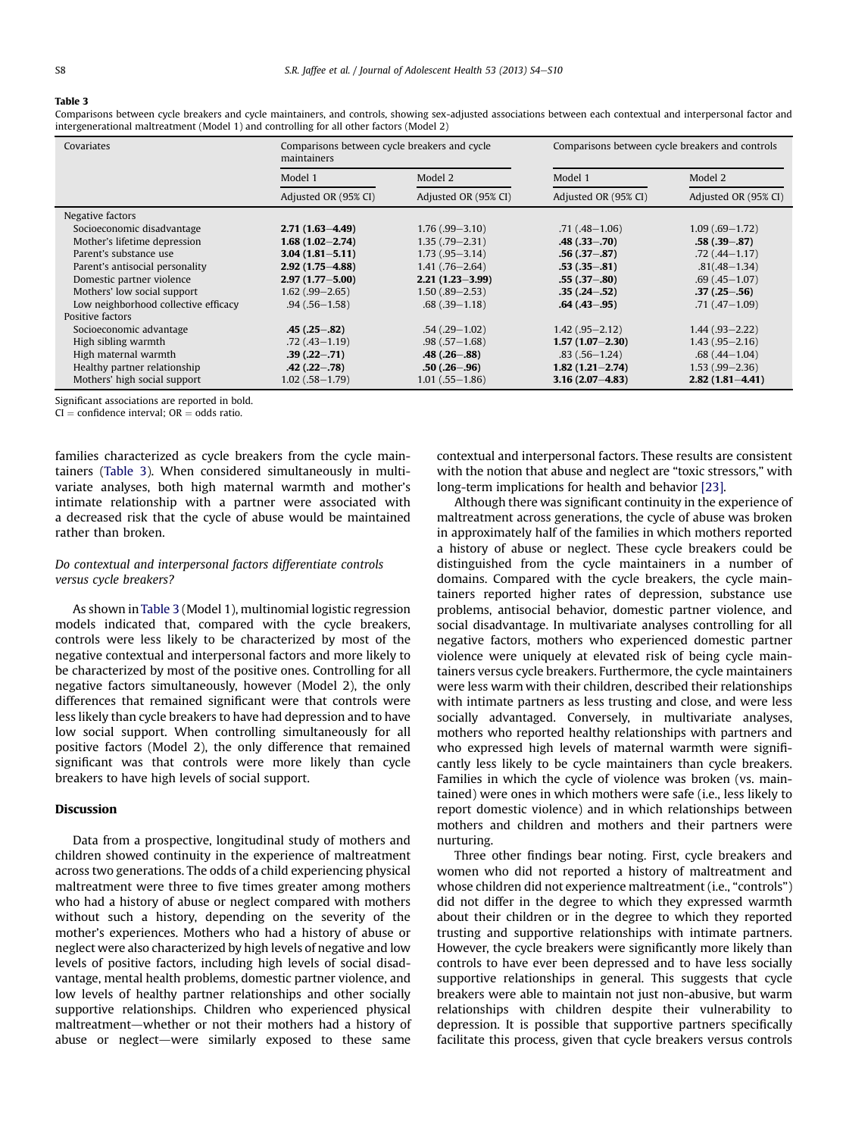#### <span id="page-4-0"></span>Table 3

Comparisons between cycle breakers and cycle maintainers, and controls, showing sex-adjusted associations between each contextual and interpersonal factor and intergenerational maltreatment (Model 1) and controlling for all other factors (Model 2)

| Covariates                           | Comparisons between cycle breakers and cycle<br>maintainers<br>Model 1<br>Model 2 |                      | Comparisons between cycle breakers and controls |                       |  |
|--------------------------------------|-----------------------------------------------------------------------------------|----------------------|-------------------------------------------------|-----------------------|--|
|                                      |                                                                                   |                      | Model 1                                         | Model 2               |  |
|                                      | Adjusted OR (95% CI)                                                              | Adjusted OR (95% CI) | Adjusted OR (95% CI)                            | Adjusted OR (95% CI)  |  |
| Negative factors                     |                                                                                   |                      |                                                 |                       |  |
| Socioeconomic disadvantage           | $2.71(1.63 - 4.49)$                                                               | $1.76(.99 - 3.10)$   | $.71(.48 - 1.06)$                               | $1.09(.69 - 1.72)$    |  |
| Mother's lifetime depression         | $1.68(1.02 - 2.74)$                                                               | $1.35(.79 - 2.31)$   | $.48(.33-.70)$                                  | $.58(.39-.87)$        |  |
| Parent's substance use               | $3.04(1.81 - 5.11)$                                                               | $1.73(.95 - 3.14)$   | $.56(.37-.87)$                                  | $.72(.44 - 1.17)$     |  |
| Parent's antisocial personality      | $2.92(1.75 - 4.88)$                                                               | $1.41(.76 - 2.64)$   | $.53(.35-.81)$                                  | $.81(.48 - 1.34)$     |  |
| Domestic partner violence            | $2.97(1.77 - 5.00)$                                                               | $2.21(1.23 - 3.99)$  | $.55(.37-.80)$                                  | $.69(.45 - 1.07)$     |  |
| Mothers' low social support          | $1.62(.99 - 2.65)$                                                                | $1.50(.89 - 2.53)$   | $.35(.24-.52)$                                  | $.37(.25-.56)$        |  |
| Low neighborhood collective efficacy | $.94(.56 - 1.58)$                                                                 | $.68(.39 - 1.18)$    | $.64(.43-.95)$                                  | $.71(.47 - 1.09)$     |  |
| Positive factors                     |                                                                                   |                      |                                                 |                       |  |
| Socioeconomic advantage              | $.45(.25-.82)$                                                                    | $.54(.29 - 1.02)$    | $1.42(.95 - 2.12)$                              | $1.44(.93 - 2.22)$    |  |
| High sibling warmth                  | $.72(.43 - 1.19)$                                                                 | $.98(.57 - 1.68)$    | $1.57(1.07 - 2.30)$                             | $1.43$ $(.95 - 2.16)$ |  |
| High maternal warmth                 | $.39(.22-.71)$                                                                    | $.48(.26-.88)$       | $.83(.56 - 1.24)$                               | $.68$ $(.44-1.04)$    |  |
| Healthy partner relationship         | $.42(.22-.78)$                                                                    | $.50(.26-.96)$       | $1.82(1.21 - 2.74)$                             | $1.53(.99 - 2.36)$    |  |
| Mothers' high social support         | $1.02(.58 - 1.79)$                                                                | $1.01(.55 - 1.86)$   | $3.16(2.07 - 4.83)$                             | $2.82(1.81 - 4.41)$   |  |

Significant associations are reported in bold.

 $CI = confidence$  interval;  $OR = odds$  ratio.

families characterized as cycle breakers from the cycle maintainers (Table 3). When considered simultaneously in multivariate analyses, both high maternal warmth and mother's intimate relationship with a partner were associated with a decreased risk that the cycle of abuse would be maintained rather than broken.

# Do contextual and interpersonal factors differentiate controls versus cycle breakers?

As shown in Table 3 (Model 1), multinomial logistic regression models indicated that, compared with the cycle breakers, controls were less likely to be characterized by most of the negative contextual and interpersonal factors and more likely to be characterized by most of the positive ones. Controlling for all negative factors simultaneously, however (Model 2), the only differences that remained significant were that controls were less likely than cycle breakers to have had depression and to have low social support. When controlling simultaneously for all positive factors (Model 2), the only difference that remained significant was that controls were more likely than cycle breakers to have high levels of social support.

#### Discussion

Data from a prospective, longitudinal study of mothers and children showed continuity in the experience of maltreatment across two generations. The odds of a child experiencing physical maltreatment were three to five times greater among mothers who had a history of abuse or neglect compared with mothers without such a history, depending on the severity of the mother's experiences. Mothers who had a history of abuse or neglect were also characterized by high levels of negative and low levels of positive factors, including high levels of social disadvantage, mental health problems, domestic partner violence, and low levels of healthy partner relationships and other socially supportive relationships. Children who experienced physical maltreatment-whether or not their mothers had a history of abuse or neglect-were similarly exposed to these same

contextual and interpersonal factors. These results are consistent with the notion that abuse and neglect are "toxic stressors," with long-term implications for health and behavior [\[23\].](#page-6-0)

Although there was significant continuity in the experience of maltreatment across generations, the cycle of abuse was broken in approximately half of the families in which mothers reported a history of abuse or neglect. These cycle breakers could be distinguished from the cycle maintainers in a number of domains. Compared with the cycle breakers, the cycle maintainers reported higher rates of depression, substance use problems, antisocial behavior, domestic partner violence, and social disadvantage. In multivariate analyses controlling for all negative factors, mothers who experienced domestic partner violence were uniquely at elevated risk of being cycle maintainers versus cycle breakers. Furthermore, the cycle maintainers were less warm with their children, described their relationships with intimate partners as less trusting and close, and were less socially advantaged. Conversely, in multivariate analyses, mothers who reported healthy relationships with partners and who expressed high levels of maternal warmth were significantly less likely to be cycle maintainers than cycle breakers. Families in which the cycle of violence was broken (vs. maintained) were ones in which mothers were safe (i.e., less likely to report domestic violence) and in which relationships between mothers and children and mothers and their partners were nurturing.

Three other findings bear noting. First, cycle breakers and women who did not reported a history of maltreatment and whose children did not experience maltreatment (i.e., "controls") did not differ in the degree to which they expressed warmth about their children or in the degree to which they reported trusting and supportive relationships with intimate partners. However, the cycle breakers were significantly more likely than controls to have ever been depressed and to have less socially supportive relationships in general. This suggests that cycle breakers were able to maintain not just non-abusive, but warm relationships with children despite their vulnerability to depression. It is possible that supportive partners specifically facilitate this process, given that cycle breakers versus controls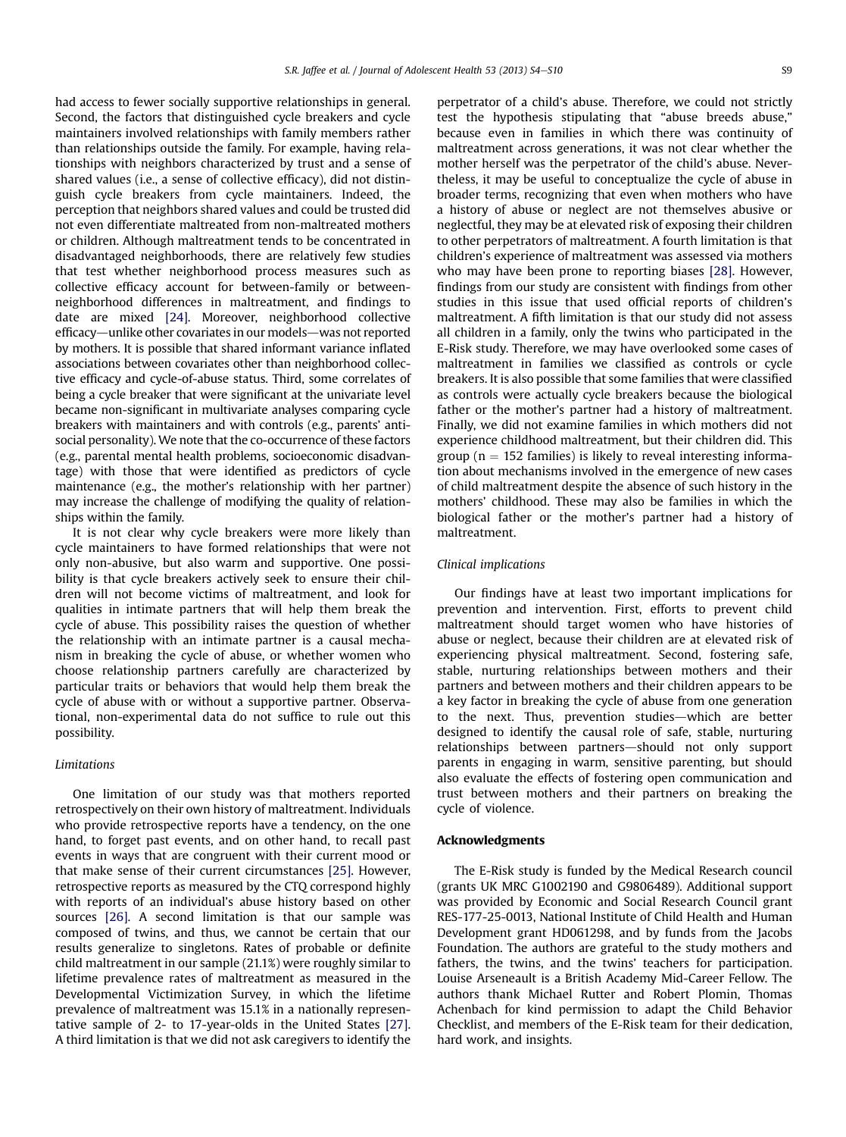had access to fewer socially supportive relationships in general. Second, the factors that distinguished cycle breakers and cycle maintainers involved relationships with family members rather than relationships outside the family. For example, having relationships with neighbors characterized by trust and a sense of shared values (i.e., a sense of collective efficacy), did not distinguish cycle breakers from cycle maintainers. Indeed, the perception that neighbors shared values and could be trusted did not even differentiate maltreated from non-maltreated mothers or children. Although maltreatment tends to be concentrated in disadvantaged neighborhoods, there are relatively few studies that test whether neighborhood process measures such as collective efficacy account for between-family or betweenneighborhood differences in maltreatment, and findings to date are mixed [\[24\].](#page-6-0) Moreover, neighborhood collective efficacy—unlike other covariates in our models—was not reported by mothers. It is possible that shared informant variance inflated associations between covariates other than neighborhood collective efficacy and cycle-of-abuse status. Third, some correlates of being a cycle breaker that were significant at the univariate level became non-significant in multivariate analyses comparing cycle breakers with maintainers and with controls (e.g., parents' antisocial personality). We note that the co-occurrence of these factors (e.g., parental mental health problems, socioeconomic disadvantage) with those that were identified as predictors of cycle maintenance (e.g., the mother's relationship with her partner) may increase the challenge of modifying the quality of relationships within the family.

It is not clear why cycle breakers were more likely than cycle maintainers to have formed relationships that were not only non-abusive, but also warm and supportive. One possibility is that cycle breakers actively seek to ensure their children will not become victims of maltreatment, and look for qualities in intimate partners that will help them break the cycle of abuse. This possibility raises the question of whether the relationship with an intimate partner is a causal mechanism in breaking the cycle of abuse, or whether women who choose relationship partners carefully are characterized by particular traits or behaviors that would help them break the cycle of abuse with or without a supportive partner. Observational, non-experimental data do not suffice to rule out this possibility.

# Limitations

One limitation of our study was that mothers reported retrospectively on their own history of maltreatment. Individuals who provide retrospective reports have a tendency, on the one hand, to forget past events, and on other hand, to recall past events in ways that are congruent with their current mood or that make sense of their current circumstances [\[25\]](#page-6-0). However, retrospective reports as measured by the CTQ correspond highly with reports of an individual's abuse history based on other sources [\[26\]](#page-6-0). A second limitation is that our sample was composed of twins, and thus, we cannot be certain that our results generalize to singletons. Rates of probable or definite child maltreatment in our sample (21.1%) were roughly similar to lifetime prevalence rates of maltreatment as measured in the Developmental Victimization Survey, in which the lifetime prevalence of maltreatment was 15.1% in a nationally representative sample of 2- to 17-year-olds in the United States [\[27\].](#page-6-0) A third limitation is that we did not ask caregivers to identify the perpetrator of a child's abuse. Therefore, we could not strictly test the hypothesis stipulating that "abuse breeds abuse," because even in families in which there was continuity of maltreatment across generations, it was not clear whether the mother herself was the perpetrator of the child's abuse. Nevertheless, it may be useful to conceptualize the cycle of abuse in broader terms, recognizing that even when mothers who have a history of abuse or neglect are not themselves abusive or neglectful, they may be at elevated risk of exposing their children to other perpetrators of maltreatment. A fourth limitation is that children's experience of maltreatment was assessed via mothers who may have been prone to reporting biases [\[28\].](#page-6-0) However, findings from our study are consistent with findings from other studies in this issue that used official reports of children's maltreatment. A fifth limitation is that our study did not assess all children in a family, only the twins who participated in the E-Risk study. Therefore, we may have overlooked some cases of maltreatment in families we classified as controls or cycle breakers. It is also possible that some families that were classified as controls were actually cycle breakers because the biological father or the mother's partner had a history of maltreatment. Finally, we did not examine families in which mothers did not experience childhood maltreatment, but their children did. This group ( $n = 152$  families) is likely to reveal interesting information about mechanisms involved in the emergence of new cases of child maltreatment despite the absence of such history in the mothers' childhood. These may also be families in which the biological father or the mother's partner had a history of maltreatment.

## Clinical implications

Our findings have at least two important implications for prevention and intervention. First, efforts to prevent child maltreatment should target women who have histories of abuse or neglect, because their children are at elevated risk of experiencing physical maltreatment. Second, fostering safe, stable, nurturing relationships between mothers and their partners and between mothers and their children appears to be a key factor in breaking the cycle of abuse from one generation to the next. Thus, prevention studies-which are better designed to identify the causal role of safe, stable, nurturing relationships between partners-should not only support parents in engaging in warm, sensitive parenting, but should also evaluate the effects of fostering open communication and trust between mothers and their partners on breaking the cycle of violence.

## Acknowledgments

The E-Risk study is funded by the Medical Research council (grants UK MRC G1002190 and G9806489). Additional support was provided by Economic and Social Research Council grant RES-177-25-0013, National Institute of Child Health and Human Development grant HD061298, and by funds from the Jacobs Foundation. The authors are grateful to the study mothers and fathers, the twins, and the twins' teachers for participation. Louise Arseneault is a British Academy Mid-Career Fellow. The authors thank Michael Rutter and Robert Plomin, Thomas Achenbach for kind permission to adapt the Child Behavior Checklist, and members of the E-Risk team for their dedication, hard work, and insights.